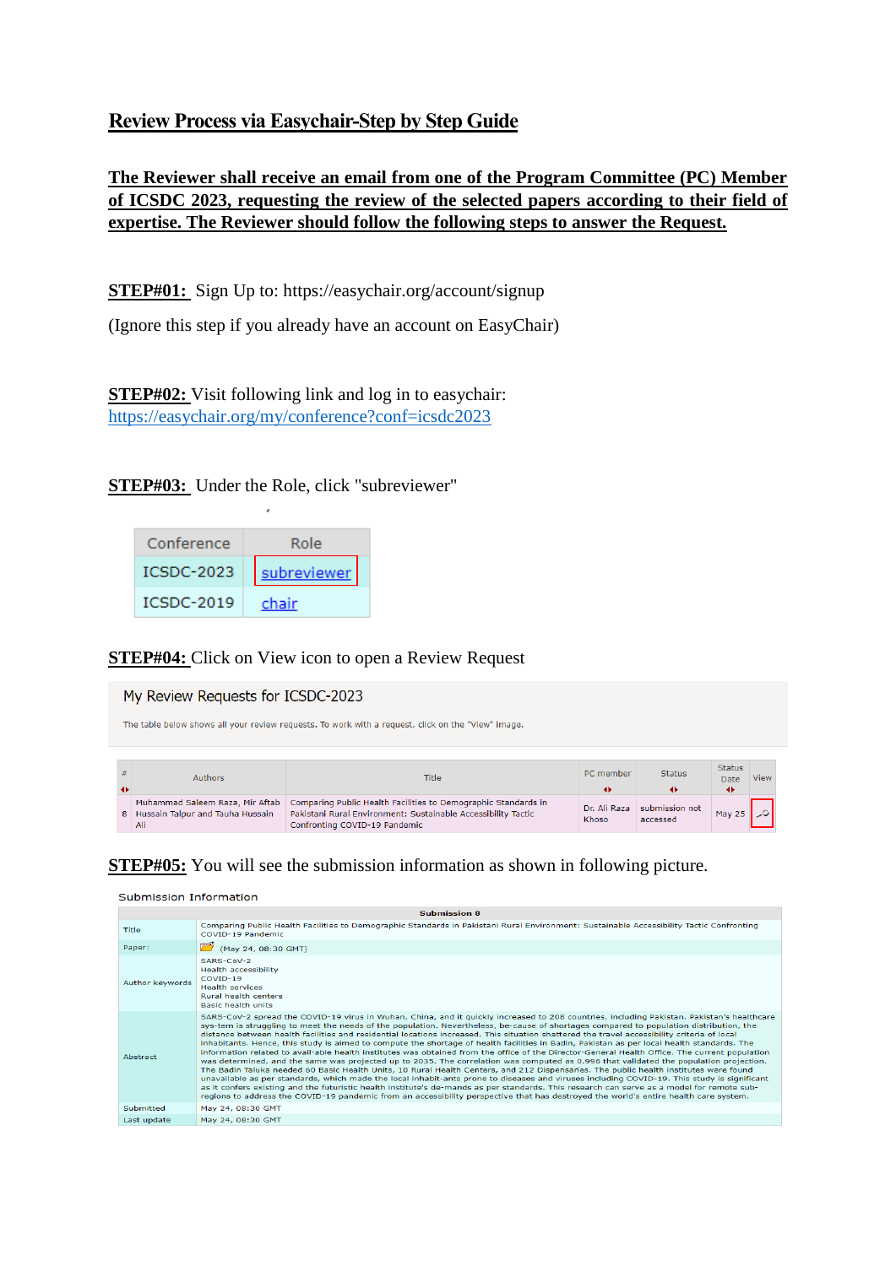## **Review Process via Easychair-Step by Step Guide**

**The Reviewer shall receive an email from one of the Program Committee (PC) Member of ICSDC 2023, requesting the review of the selected papers according to their field of expertise. The Reviewer should follow the following steps to answer the Request.**

**STEP#01:** Sign Up to: https://easychair.org/account/signup

(Ignore this step if you already have an account on EasyChair)

**STEP#02:** Visit following link and log in to easychair: <https://easychair.org/my/conference?conf=icsdc2023>

**STEP#03:** Under the Role, click "subreviewer"

| Conference        | Role        |
|-------------------|-------------|
| <b>ICSDC-2023</b> | subreviewer |
| ICSDC-2019        | chair       |

### **STEP#04:** Click on View icon to open a Review Request

### My Review Requests for ICSDC-2023

The table below shows all your review requests. To work with a request, click on the "View" image.

| 二苯<br>$\rightarrow$ | <b>Authors</b>                            | Title                                                                                                                                                                                              | PC member             | <b>Status</b>              | <b>Status</b><br>Date<br>◆ | View |
|---------------------|-------------------------------------------|----------------------------------------------------------------------------------------------------------------------------------------------------------------------------------------------------|-----------------------|----------------------------|----------------------------|------|
|                     | 8 Hussain Talpur and Tauha Hussain<br>Ali | Muhammad Saleem Raza, Mir Aftab   Comparing Public Health Facilities to Demographic Standards in<br>Pakistani Rural Environment: Sustainable Accessibility Tactic<br>Confronting COVID-19 Pandemic | Dr. Ali Raza<br>Khoso | submission not<br>accessed | May 25                     |      |

### **STEP#05:** You will see the submission information as shown in following picture.

#### Submission Information

| supmission 8    |                                                                                                                                                                                                                                                                                                                                                                                                                                                                                                                                                                                                                                                                                                                                                                                                                                                                                                                                                                                                                                                                                                                                                                                                                                                                                                                                                                                                                                                              |  |  |
|-----------------|--------------------------------------------------------------------------------------------------------------------------------------------------------------------------------------------------------------------------------------------------------------------------------------------------------------------------------------------------------------------------------------------------------------------------------------------------------------------------------------------------------------------------------------------------------------------------------------------------------------------------------------------------------------------------------------------------------------------------------------------------------------------------------------------------------------------------------------------------------------------------------------------------------------------------------------------------------------------------------------------------------------------------------------------------------------------------------------------------------------------------------------------------------------------------------------------------------------------------------------------------------------------------------------------------------------------------------------------------------------------------------------------------------------------------------------------------------------|--|--|
| Title           | Comparing Public Health Facilities to Demographic Standards in Pakistani Rural Environment: Sustainable Accessibility Tactic Confronting<br>COVID-19 Pandemic                                                                                                                                                                                                                                                                                                                                                                                                                                                                                                                                                                                                                                                                                                                                                                                                                                                                                                                                                                                                                                                                                                                                                                                                                                                                                                |  |  |
| Paper:          | (May 24, 08:30 GMT)                                                                                                                                                                                                                                                                                                                                                                                                                                                                                                                                                                                                                                                                                                                                                                                                                                                                                                                                                                                                                                                                                                                                                                                                                                                                                                                                                                                                                                          |  |  |
| Author keywords | $SARS-CoV-2$<br><b>Health accessibility</b><br>COVID-19<br><b>Health services</b><br><b>Rural health centers</b><br><b>Basic health units</b>                                                                                                                                                                                                                                                                                                                                                                                                                                                                                                                                                                                                                                                                                                                                                                                                                                                                                                                                                                                                                                                                                                                                                                                                                                                                                                                |  |  |
| Abstract        | SARS-CoV-2 spread the COVID-19 virus in Wuhan, China, and it quickly increased to 208 countries, including Pakistan, Pakistan's healthcare<br>sys-tem is struggling to meet the needs of the population. Nevertheless, be-cause of shortages compared to population distribution, the<br>distance between health facilities and residential locations increased. This situation shattered the travel accessibility criteria of local<br>inhabitants. Hence, this study is aimed to compute the shortage of health facilities in Badin, Pakistan as per local health standards. The<br>information related to avail-able health institutes was obtained from the office of the Director-General Health Office. The current population<br>was determined, and the same was projected up to 2035. The correlation was computed as 0.996 that validated the population projection.<br>The Badin Taluka needed 60 Basic Health Units, 10 Rural Health Centers, and 212 Dispensaries. The public health institutes were found<br>unavailable as per standards, which made the local inhabit-ants prone to diseases and viruses including COVID-19. This study is significant<br>as it confers existing and the futuristic health institute's de-mands as per standards. This research can serve as a model for remote sub-<br>regions to address the COVID-19 pandemic from an accessibility perspective that has destroyed the world's entire health care system. |  |  |
| Submitted       | May 24, 08:30 GMT                                                                                                                                                                                                                                                                                                                                                                                                                                                                                                                                                                                                                                                                                                                                                                                                                                                                                                                                                                                                                                                                                                                                                                                                                                                                                                                                                                                                                                            |  |  |
| Last update     | May 24, 08:30 GMT                                                                                                                                                                                                                                                                                                                                                                                                                                                                                                                                                                                                                                                                                                                                                                                                                                                                                                                                                                                                                                                                                                                                                                                                                                                                                                                                                                                                                                            |  |  |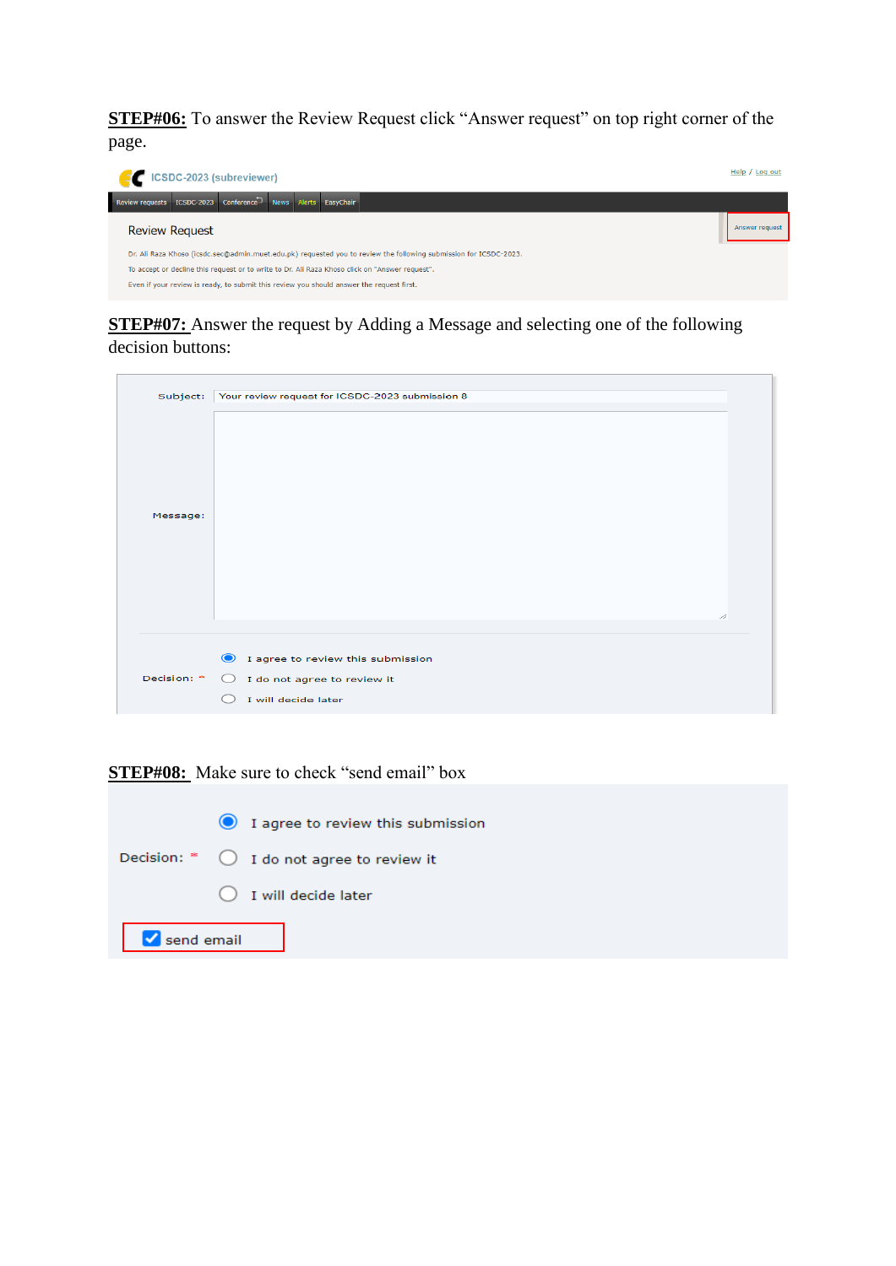**STEP#06:** To answer the Review Request click "Answer request" on top right corner of the page.



## **STEP#07:** Answer the request by Adding a Message and selecting one of the following decision buttons:

| Subject:    | Your review request for ICSDC-2023 submission 8                                                                    |  |
|-------------|--------------------------------------------------------------------------------------------------------------------|--|
| Message:    | D,                                                                                                                 |  |
|             |                                                                                                                    |  |
| Decision: * | $\bullet$<br>I agree to review this submission<br>I do not agree to review it<br>$\bigcirc$<br>I will decide later |  |
|             |                                                                                                                    |  |

### **STEP#08:** Make sure to check "send email" box

|            | 1 agree to review this submission                    |
|------------|------------------------------------------------------|
|            | Decision: $*$ $\bigcirc$ I do not agree to review it |
|            | $\bigcirc$ I will decide later                       |
| Send email |                                                      |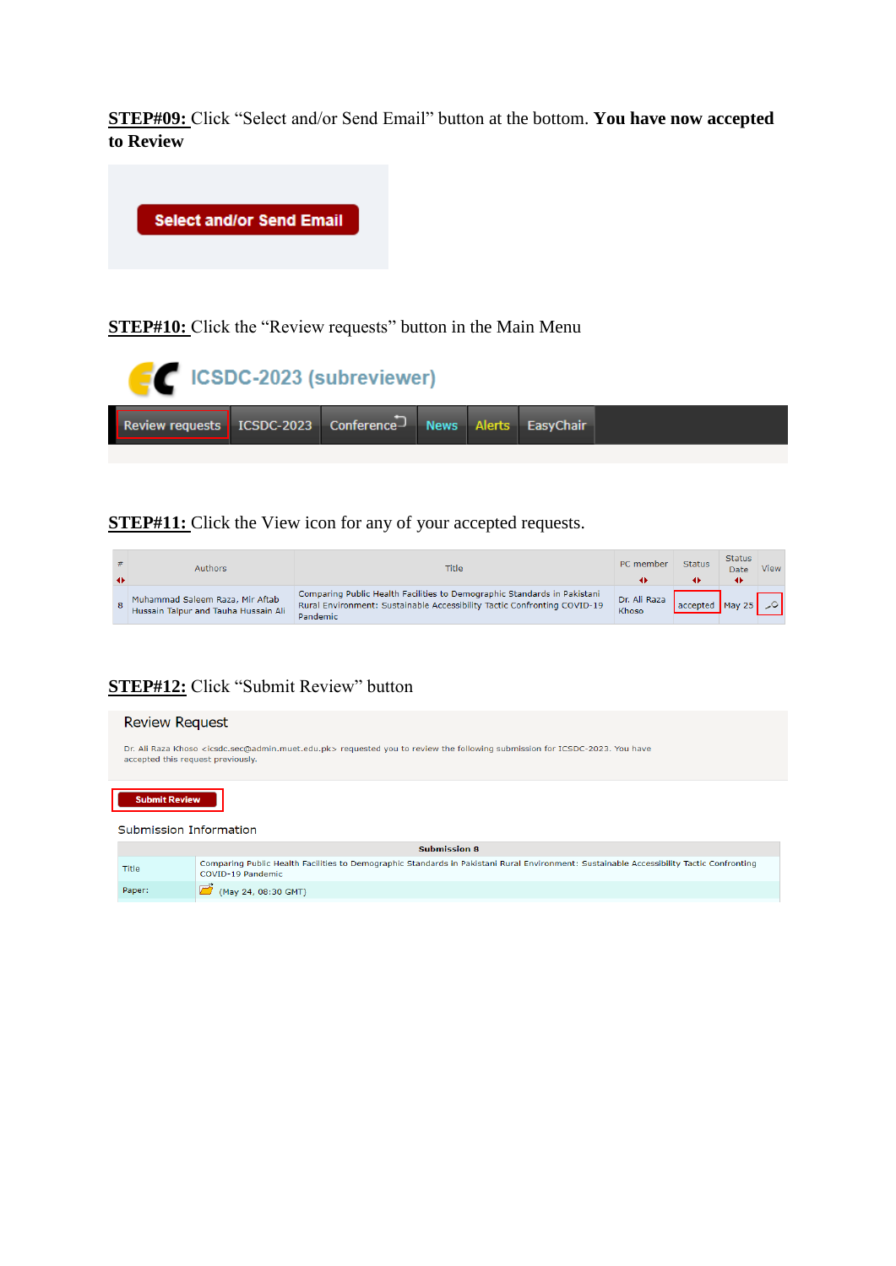**STEP#09:** Click "Select and/or Send Email" button at the bottom. **You have now accepted to Review**



**STEP#10:** Click the "Review requests" button in the Main Menu

| <b>EXECUTE:</b> ICSDC-2023 (subreviewer)                              |  |  |  |  |  |  |
|-----------------------------------------------------------------------|--|--|--|--|--|--|
| Review requests   ICSDC-2023   Conference   News   Alerts   EasyChair |  |  |  |  |  |  |

**STEP#11:** Click the View icon for any of your accepted requests.

| $\rightarrow$ | <b>Authors</b>                                                          | Title                                                                                                                                                                   | PC member             | <b>Status</b>                                                           | <b>Status</b><br>Date | View |
|---------------|-------------------------------------------------------------------------|-------------------------------------------------------------------------------------------------------------------------------------------------------------------------|-----------------------|-------------------------------------------------------------------------|-----------------------|------|
|               | Muhammad Saleem Raza, Mir Aftab<br>Hussain Talpur and Tauha Hussain Ali | Comparing Public Health Facilities to Demographic Standards in Pakistani<br>Rural Environment: Sustainable Accessibility Tactic Confronting COVID-19<br><b>Pandemic</b> | Dr. Ali Raza<br>Khoso | $\vert$ accepted $\vert$ May 25 $\vert$ $\vert$ $\vert$ $\vert$ $\vert$ |                       |      |

# **STEP#12:** Click "Submit Review" button

| <b>Review Request</b>                                                                                                                                                                          |                                                                                                                                                               |  |  |
|------------------------------------------------------------------------------------------------------------------------------------------------------------------------------------------------|---------------------------------------------------------------------------------------------------------------------------------------------------------------|--|--|
| Dr. Ali Raza Khoso <icsdc.sec@admin.muet.edu.pk> requested you to review the following submission for ICSDC-2023. You have<br/>accepted this request previously.</icsdc.sec@admin.muet.edu.pk> |                                                                                                                                                               |  |  |
| <b>Submit Review</b>                                                                                                                                                                           |                                                                                                                                                               |  |  |
| Submission Information                                                                                                                                                                         |                                                                                                                                                               |  |  |
| <b>Submission 8</b>                                                                                                                                                                            |                                                                                                                                                               |  |  |
| Title                                                                                                                                                                                          | Comparing Public Health Facilities to Demographic Standards in Pakistani Rural Environment: Sustainable Accessibility Tactic Confronting<br>COVID-19 Pandemic |  |  |
| Paper:                                                                                                                                                                                         | (May 24, 08:30 GMT)                                                                                                                                           |  |  |